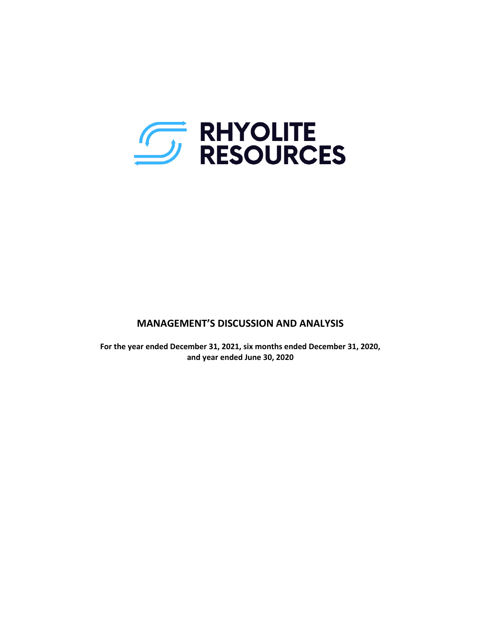

# **MANAGEMENT'S DISCUSSION AND ANALYSIS**

**For the year ended December 31, 2021, six months ended December 31, 2020, and year ended June 30, 2020**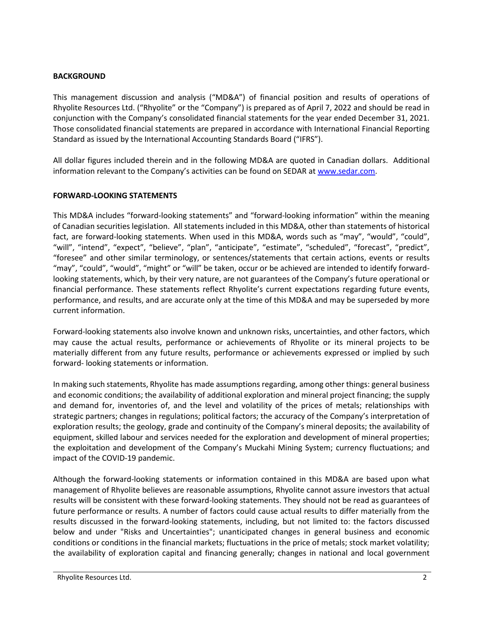### **BACKGROUND**

This management discussion and analysis ("MD&A") of financial position and results of operations of Rhyolite Resources Ltd. ("Rhyolite" or the "Company") is prepared as of April 7, 2022 and should be read in conjunction with the Company's consolidated financial statements for the year ended December 31, 2021. Those consolidated financial statements are prepared in accordance with International Financial Reporting Standard as issued by the International Accounting Standards Board ("IFRS").

All dollar figures included therein and in the following MD&A are quoted in Canadian dollars. Additional information relevant to the Company's activities can be found on SEDAR at [www.sedar.com.](http://www.sedar.com/)

### **FORWARD-LOOKING STATEMENTS**

This MD&A includes "forward-looking statements" and "forward-looking information" within the meaning of Canadian securities legislation. All statements included in this MD&A, other than statements of historical fact, are forward-looking statements. When used in this MD&A, words such as "may", "would", "could", "will", "intend", "expect", "believe", "plan", "anticipate", "estimate", "scheduled", "forecast", "predict", "foresee" and other similar terminology, or sentences/statements that certain actions, events or results "may", "could", "would", "might" or "will" be taken, occur or be achieved are intended to identify forwardlooking statements, which, by their very nature, are not guarantees of the Company's future operational or financial performance. These statements reflect Rhyolite's current expectations regarding future events, performance, and results, and are accurate only at the time of this MD&A and may be superseded by more current information.

Forward-looking statements also involve known and unknown risks, uncertainties, and other factors, which may cause the actual results, performance or achievements of Rhyolite or its mineral projects to be materially different from any future results, performance or achievements expressed or implied by such forward- looking statements or information.

In making such statements, Rhyolite has made assumptions regarding, among other things: general business and economic conditions; the availability of additional exploration and mineral project financing; the supply and demand for, inventories of, and the level and volatility of the prices of metals; relationships with strategic partners; changes in regulations; political factors; the accuracy of the Company's interpretation of exploration results; the geology, grade and continuity of the Company's mineral deposits; the availability of equipment, skilled labour and services needed for the exploration and development of mineral properties; the exploitation and development of the Company's Muckahi Mining System; currency fluctuations; and impact of the COVID-19 pandemic.

Although the forward-looking statements or information contained in this MD&A are based upon what management of Rhyolite believes are reasonable assumptions, Rhyolite cannot assure investors that actual results will be consistent with these forward-looking statements. They should not be read as guarantees of future performance or results. A number of factors could cause actual results to differ materially from the results discussed in the forward-looking statements, including, but not limited to: the factors discussed below and under "Risks and Uncertainties"; unanticipated changes in general business and economic conditions or conditions in the financial markets; fluctuations in the price of metals; stock market volatility; the availability of exploration capital and financing generally; changes in national and local government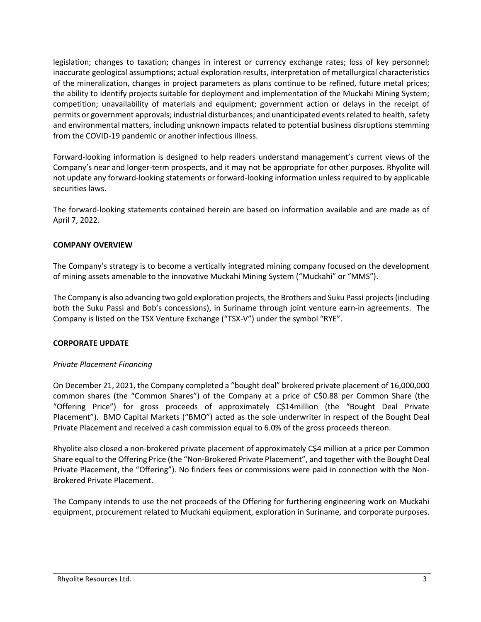legislation; changes to taxation; changes in interest or currency exchange rates; loss of key personnel; inaccurate geological assumptions; actual exploration results, interpretation of metallurgical characteristics of the mineralization, changes in project parameters as plans continue to be refined, future metal prices; the ability to identify projects suitable for deployment and implementation of the Muckahi Mining System; competition; unavailability of materials and equipment; government action or delays in the receipt of permits or government approvals; industrial disturbances; and unanticipated events related to health, safety and environmental matters, including unknown impacts related to potential business disruptions stemming from the COVID-19 pandemic or another infectious illness.

Forward-looking information is designed to help readers understand management's current views of the Company's near and longer-term prospects, and it may not be appropriate for other purposes. Rhyolite will not update any forward-looking statements or forward-looking information unless required to by applicable securities laws.

The forward-looking statements contained herein are based on information available and are made as of April 7, 2022.

## **COMPANY OVERVIEW**

The Company's strategy is to become a vertically integrated mining company focused on the development of mining assets amenable to the innovative Muckahi Mining System ("Muckahi" or "MMS").

The Company is also advancing two gold exploration projects, the Brothers and Suku Passi projects(including both the Suku Passi and Bob's concessions), in Suriname through joint venture earn-in agreements. The Company is listed on the TSX Venture Exchange ("TSX-V") under the symbol "RYE".

# **CORPORATE UPDATE**

## *Private Placement Financing*

On December 21, 2021, the Company completed a "bought deal" brokered private placement of 16,000,000 common shares (the "Common Shares") of the Company at a price of C\$0.88 per Common Share (the "Offering Price") for gross proceeds of approximately C\$14million (the "Bought Deal Private Placement"). BMO Capital Markets ("BMO") acted as the sole underwriter in respect of the Bought Deal Private Placement and received a cash commission equal to 6.0% of the gross proceeds thereon.

Rhyolite also closed a non-brokered private placement of approximately C\$4 million at a price per Common Share equal to the Offering Price (the "Non-Brokered Private Placement", and together with the Bought Deal Private Placement, the "Offering"). No finders fees or commissions were paid in connection with the Non-Brokered Private Placement.

The Company intends to use the net proceeds of the Offering for furthering engineering work on Muckahi equipment, procurement related to Muckahi equipment, exploration in Suriname, and corporate purposes.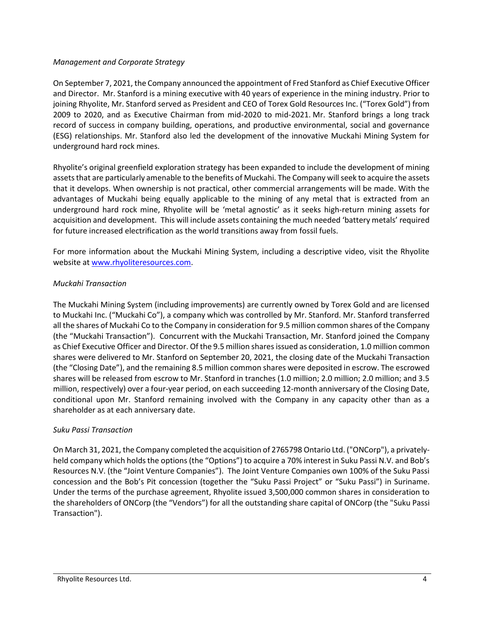### *Management and Corporate Strategy*

On September 7, 2021, the Company announced the appointment of Fred Stanford as Chief Executive Officer and Director. Mr. Stanford is a mining executive with 40 years of experience in the mining industry. Prior to joining Rhyolite, Mr. Stanford served as President and CEO of Torex Gold Resources Inc. ("Torex Gold") from 2009 to 2020, and as Executive Chairman from mid-2020 to mid-2021. Mr. Stanford brings a long track record of success in company building, operations, and productive environmental, social and governance (ESG) relationships. Mr. Stanford also led the development of the innovative Muckahi Mining System for underground hard rock mines.

Rhyolite's original greenfield exploration strategy has been expanded to include the development of mining assets that are particularly amenable to the benefits of Muckahi. The Company will seek to acquire the assets that it develops. When ownership is not practical, other commercial arrangements will be made. With the advantages of Muckahi being equally applicable to the mining of any metal that is extracted from an underground hard rock mine, Rhyolite will be 'metal agnostic' as it seeks high-return mining assets for acquisition and development. This will include assets containing the much needed 'battery metals' required for future increased electrification as the world transitions away from fossil fuels.

For more information about the Muckahi Mining System, including a descriptive video, visit the Rhyolite website at [www.rhyoliteresources.com.](http://www.rhyoliteresources.com/)

## *Muckahi Transaction*

The Muckahi Mining System (including improvements) are currently owned by Torex Gold and are licensed to Muckahi Inc. ("Muckahi Co"), a company which was controlled by Mr. Stanford. Mr. Stanford transferred all the shares of Muckahi Co to the Company in consideration for 9.5 million common shares of the Company (the "Muckahi Transaction"). Concurrent with the Muckahi Transaction, Mr. Stanford joined the Company as Chief Executive Officer and Director. Of the 9.5 million shares issued as consideration, 1.0 million common shares were delivered to Mr. Stanford on September 20, 2021, the closing date of the Muckahi Transaction (the "Closing Date"), and the remaining 8.5 million common shares were deposited in escrow. The escrowed shares will be released from escrow to Mr. Stanford in tranches (1.0 million; 2.0 million; 2.0 million; and 3.5 million, respectively) over a four-year period, on each succeeding 12-month anniversary of the Closing Date, conditional upon Mr. Stanford remaining involved with the Company in any capacity other than as a shareholder as at each anniversary date.

## *Suku Passi Transaction*

On March 31, 2021, the Company completed the acquisition of 2765798 Ontario Ltd. ("ONCorp"), a privatelyheld company which holds the options (the "Options") to acquire a 70% interest in Suku Passi N.V. and Bob's Resources N.V. (the "Joint Venture Companies"). The Joint Venture Companies own 100% of the Suku Passi concession and the Bob's Pit concession (together the "Suku Passi Project" or "Suku Passi") in Suriname. Under the terms of the purchase agreement, Rhyolite issued 3,500,000 common shares in consideration to the shareholders of ONCorp (the "Vendors") for all the outstanding share capital of ONCorp (the "Suku Passi Transaction").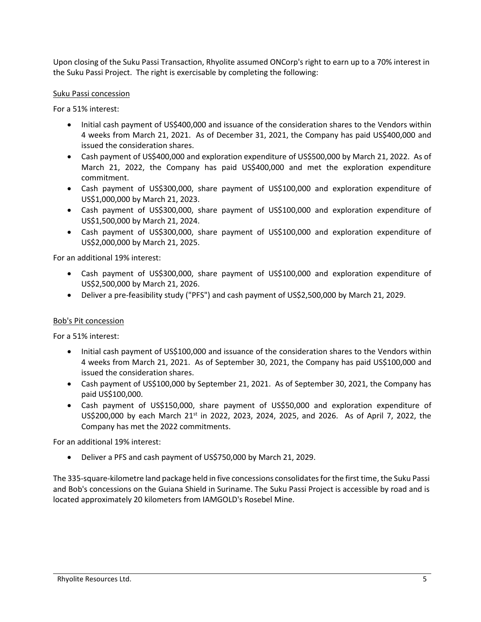Upon closing of the Suku Passi Transaction, Rhyolite assumed ONCorp's right to earn up to a 70% interest in the Suku Passi Project. The right is exercisable by completing the following:

### Suku Passi concession

For a 51% interest:

- Initial cash payment of US\$400,000 and issuance of the consideration shares to the Vendors within 4 weeks from March 21, 2021. As of December 31, 2021, the Company has paid US\$400,000 and issued the consideration shares.
- Cash payment of US\$400,000 and exploration expenditure of US\$500,000 by March 21, 2022. As of March 21, 2022, the Company has paid US\$400,000 and met the exploration expenditure commitment.
- Cash payment of US\$300,000, share payment of US\$100,000 and exploration expenditure of US\$1,000,000 by March 21, 2023.
- Cash payment of US\$300,000, share payment of US\$100,000 and exploration expenditure of US\$1,500,000 by March 21, 2024.
- Cash payment of US\$300,000, share payment of US\$100,000 and exploration expenditure of US\$2,000,000 by March 21, 2025.

For an additional 19% interest:

- Cash payment of US\$300,000, share payment of US\$100,000 and exploration expenditure of US\$2,500,000 by March 21, 2026.
- Deliver a pre-feasibility study ("PFS") and cash payment of US\$2,500,000 by March 21, 2029.

## Bob's Pit concession

For a 51% interest:

- Initial cash payment of US\$100,000 and issuance of the consideration shares to the Vendors within 4 weeks from March 21, 2021. As of September 30, 2021, the Company has paid US\$100,000 and issued the consideration shares.
- Cash payment of US\$100,000 by September 21, 2021. As of September 30, 2021, the Company has paid US\$100,000.
- Cash payment of US\$150,000, share payment of US\$50,000 and exploration expenditure of US\$200,000 by each March 21<sup>st</sup> in 2022, 2023, 2024, 2025, and 2026. As of April 7, 2022, the Company has met the 2022 commitments.

For an additional 19% interest:

• Deliver a PFS and cash payment of US\$750,000 by March 21, 2029.

The 335-square-kilometre land package held in five concessions consolidates for the first time, the Suku Passi and Bob's concessions on the Guiana Shield in Suriname. The Suku Passi Project is accessible by road and is located approximately 20 kilometers from IAMGOLD's Rosebel Mine.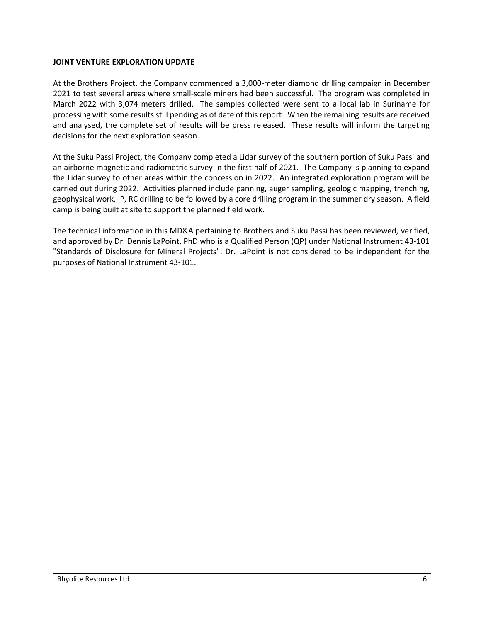### **JOINT VENTURE EXPLORATION UPDATE**

At the Brothers Project, the Company commenced a 3,000-meter diamond drilling campaign in December 2021 to test several areas where small-scale miners had been successful. The program was completed in March 2022 with 3,074 meters drilled. The samples collected were sent to a local lab in Suriname for processing with some results still pending as of date of this report. When the remaining results are received and analysed, the complete set of results will be press released. These results will inform the targeting decisions for the next exploration season.

At the Suku Passi Project, the Company completed a Lidar survey of the southern portion of Suku Passi and an airborne magnetic and radiometric survey in the first half of 2021. The Company is planning to expand the Lidar survey to other areas within the concession in 2022. An integrated exploration program will be carried out during 2022. Activities planned include panning, auger sampling, geologic mapping, trenching, geophysical work, IP, RC drilling to be followed by a core drilling program in the summer dry season. A field camp is being built at site to support the planned field work.

The technical information in this MD&A pertaining to Brothers and Suku Passi has been reviewed, verified, and approved by Dr. Dennis LaPoint, PhD who is a Qualified Person (QP) under National Instrument 43-101 "Standards of Disclosure for Mineral Projects". Dr. LaPoint is not considered to be independent for the purposes of National Instrument 43-101.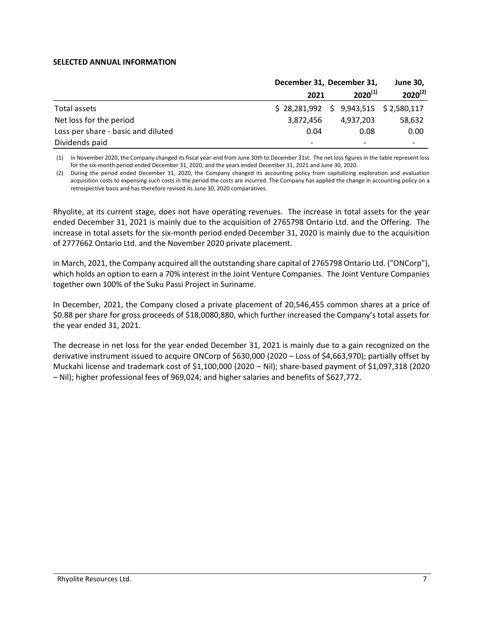#### **SELECTED ANNUAL INFORMATION**

|                                    | December 31, December 31, | <b>June 30,</b>                         |              |
|------------------------------------|---------------------------|-----------------------------------------|--------------|
|                                    | 2021                      | $2020^{(1)}$                            | $2020^{(2)}$ |
| Total assets                       |                           | $$28,281,992 \t$9,943,515 \t$2,580,117$ |              |
| Net loss for the period            | 3,872,456                 | 4,937,203                               | 58,632       |
| Loss per share - basic and diluted | 0.04                      | 0.08                                    | 0.00         |
| Dividends paid                     | -                         |                                         |              |

(1) In November 2020, the Company changed its fiscal year-end from June 30th to December 31st. The net loss figures in the table represent loss for the six-month period ended December 31, 2020, and the years ended December 31, 2021 and June 30, 2020.

(2) During the period ended December 31, 2020, the Company changed its accounting policy from capitalizing exploration and evaluation acquisition costs to expensing such costs in the period the costs are incurred. The Company has applied the change in accounting policy on a retrospective basis and has therefore revised its June 30, 2020 comparatives.

Rhyolite, at its current stage, does not have operating revenues. The increase in total assets for the year ended December 31, 2021 is mainly due to the acquisition of 2765798 Ontario Ltd. and the Offering. The increase in total assets for the six-month period ended December 31, 2020 is mainly due to the acquisition of 2777662 Ontario Ltd. and the November 2020 private placement.

in March, 2021, the Company acquired all the outstanding share capital of 2765798 Ontario Ltd. ("ONCorp"), which holds an option to earn a 70% interest in the Joint Venture Companies. The Joint Venture Companies together own 100% of the Suku Passi Project in Suriname.

In December, 2021, the Company closed a private placement of 20,546,455 common shares at a price of \$0.88 per share for gross proceeds of \$18,0080,880, which further increased the Company's total assets for the year ended 31, 2021.

The decrease in net loss for the year ended December 31, 2021 is mainly due to a gain recognized on the derivative instrument issued to acquire ONCorp of \$630,000 (2020 – Loss of \$4,663,970); partially offset by Muckahi license and trademark cost of \$1,100,000 (2020 – Nil); share-based payment of \$1,097,318 (2020 – Nil); higher professional fees of 969,024; and higher salaries and benefits of \$627,772.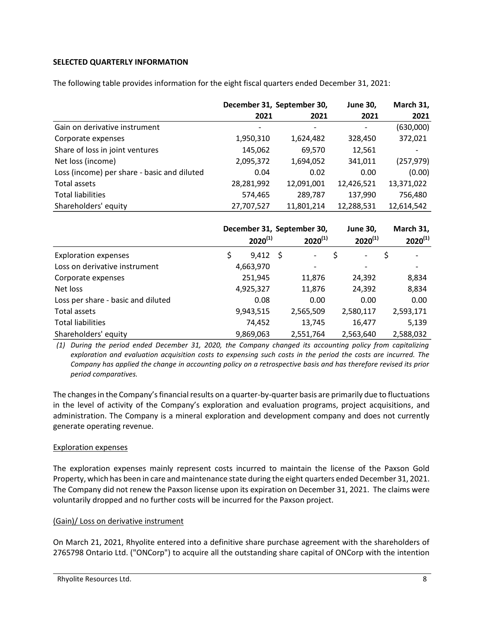## **SELECTED QUARTERLY INFORMATION**

The following table provides information for the eight fiscal quarters ended December 31, 2021:

|                                             | December 31, September 30, |            | <b>June 30,</b> | March 31,  |
|---------------------------------------------|----------------------------|------------|-----------------|------------|
|                                             | 2021                       | 2021       | 2021            | 2021       |
| Gain on derivative instrument               |                            |            |                 | (630,000)  |
| Corporate expenses                          | 1,950,310                  | 1,624,482  | 328,450         | 372,021    |
| Share of loss in joint ventures             | 145,062                    | 69,570     | 12,561          |            |
| Net loss (income)                           | 2,095,372                  | 1,694,052  | 341,011         | (257, 979) |
| Loss (income) per share - basic and diluted | 0.04                       | 0.02       | 0.00            | (0.00)     |
| Total assets                                | 28,281,992                 | 12,091,001 | 12,426,521      | 13,371,022 |
| <b>Total liabilities</b>                    | 574,465                    | 289,787    | 137,990         | 756,480    |
| Shareholders' equity                        | 27,707,527                 | 11,801,214 | 12,288,531      | 12,614,542 |

|                                    | December 31, September 30,<br>$2020^{(1)}$<br>$2020^{(1)}$ |                 |  | <b>June 30,</b><br>$2020^{(1)}$ | March 31,<br>$2020^{(1)}$ |                                |
|------------------------------------|------------------------------------------------------------|-----------------|--|---------------------------------|---------------------------|--------------------------------|
|                                    |                                                            |                 |  |                                 |                           |                                |
| <b>Exploration expenses</b>        | \$                                                         | $9,412 \quad $$ |  | $\overline{\phantom{a}}$        | \$                        | \$<br>$\overline{\phantom{0}}$ |
| Loss on derivative instrument      |                                                            | 4,663,970       |  |                                 |                           |                                |
| Corporate expenses                 |                                                            | 251,945         |  | 11,876                          | 24,392                    | 8,834                          |
| Net loss                           |                                                            | 4,925,327       |  | 11,876                          | 24,392                    | 8,834                          |
| Loss per share - basic and diluted |                                                            | 0.08            |  | 0.00                            | 0.00                      | 0.00                           |
| Total assets                       |                                                            | 9,943,515       |  | 2,565,509                       | 2,580,117                 | 2,593,171                      |
| <b>Total liabilities</b>           |                                                            | 74,452          |  | 13,745                          | 16,477                    | 5,139                          |
| Shareholders' equity               |                                                            | 9,869,063       |  | 2,551,764                       | 2,563,640                 | 2,588,032                      |

*(1) During the period ended December 31, 2020, the Company changed its accounting policy from capitalizing exploration and evaluation acquisition costs to expensing such costs in the period the costs are incurred. The Company has applied the change in accounting policy on a retrospective basis and has therefore revised its prior period comparatives.*

The changes in the Company's financial results on a quarter-by-quarter basis are primarily due to fluctuations in the level of activity of the Company's exploration and evaluation programs, project acquisitions, and administration. The Company is a mineral exploration and development company and does not currently generate operating revenue.

#### Exploration expenses

The exploration expenses mainly represent costs incurred to maintain the license of the Paxson Gold Property, which has been in care and maintenance state during the eight quarters ended December 31, 2021. The Company did not renew the Paxson license upon its expiration on December 31, 2021. The claims were voluntarily dropped and no further costs will be incurred for the Paxson project.

#### (Gain)/ Loss on derivative instrument

On March 21, 2021, Rhyolite entered into a definitive share purchase agreement with the shareholders of 2765798 Ontario Ltd. ("ONCorp") to acquire all the outstanding share capital of ONCorp with the intention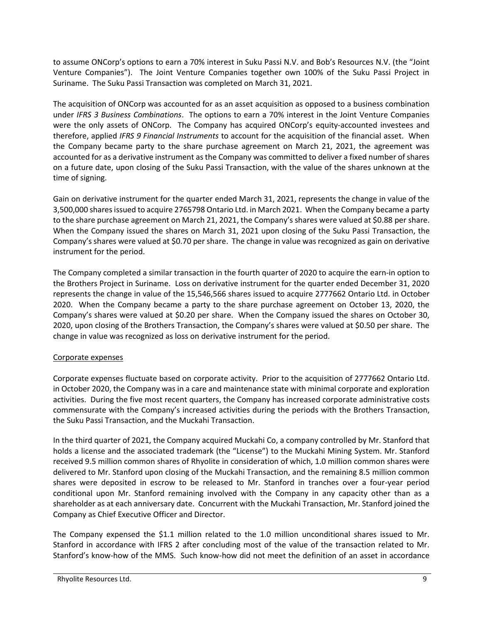to assume ONCorp's options to earn a 70% interest in Suku Passi N.V. and Bob's Resources N.V. (the "Joint Venture Companies"). The Joint Venture Companies together own 100% of the Suku Passi Project in Suriname. The Suku Passi Transaction was completed on March 31, 2021.

The acquisition of ONCorp was accounted for as an asset acquisition as opposed to a business combination under *IFRS 3 Business Combinations*. The options to earn a 70% interest in the Joint Venture Companies were the only assets of ONCorp. The Company has acquired ONCorp's equity-accounted investees and therefore, applied *IFRS 9 Financial Instruments* to account for the acquisition of the financial asset. When the Company became party to the share purchase agreement on March 21, 2021, the agreement was accounted for as a derivative instrument as the Company was committed to deliver a fixed number of shares on a future date, upon closing of the Suku Passi Transaction, with the value of the shares unknown at the time of signing.

Gain on derivative instrument for the quarter ended March 31, 2021, represents the change in value of the 3,500,000 shares issued to acquire 2765798 Ontario Ltd. in March 2021. When the Company became a party to the share purchase agreement on March 21, 2021, the Company's shares were valued at \$0.88 per share. When the Company issued the shares on March 31, 2021 upon closing of the Suku Passi Transaction, the Company's shares were valued at \$0.70 per share. The change in value was recognized as gain on derivative instrument for the period.

The Company completed a similar transaction in the fourth quarter of 2020 to acquire the earn-in option to the Brothers Project in Suriname. Loss on derivative instrument for the quarter ended December 31, 2020 represents the change in value of the 15,546,566 shares issued to acquire 2777662 Ontario Ltd. in October 2020. When the Company became a party to the share purchase agreement on October 13, 2020, the Company's shares were valued at \$0.20 per share. When the Company issued the shares on October 30, 2020, upon closing of the Brothers Transaction, the Company's shares were valued at \$0.50 per share. The change in value was recognized as loss on derivative instrument for the period.

# Corporate expenses

Corporate expenses fluctuate based on corporate activity. Prior to the acquisition of 2777662 Ontario Ltd. in October 2020, the Company was in a care and maintenance state with minimal corporate and exploration activities. During the five most recent quarters, the Company has increased corporate administrative costs commensurate with the Company's increased activities during the periods with the Brothers Transaction, the Suku Passi Transaction, and the Muckahi Transaction.

In the third quarter of 2021, the Company acquired Muckahi Co, a company controlled by Mr. Stanford that holds a license and the associated trademark (the "License") to the Muckahi Mining System. Mr. Stanford received 9.5 million common shares of Rhyolite in consideration of which, 1.0 million common shares were delivered to Mr. Stanford upon closing of the Muckahi Transaction, and the remaining 8.5 million common shares were deposited in escrow to be released to Mr. Stanford in tranches over a four-year period conditional upon Mr. Stanford remaining involved with the Company in any capacity other than as a shareholder as at each anniversary date. Concurrent with the Muckahi Transaction, Mr. Stanford joined the Company as Chief Executive Officer and Director.

The Company expensed the \$1.1 million related to the 1.0 million unconditional shares issued to Mr. Stanford in accordance with IFRS 2 after concluding most of the value of the transaction related to Mr. Stanford's know-how of the MMS. Such know-how did not meet the definition of an asset in accordance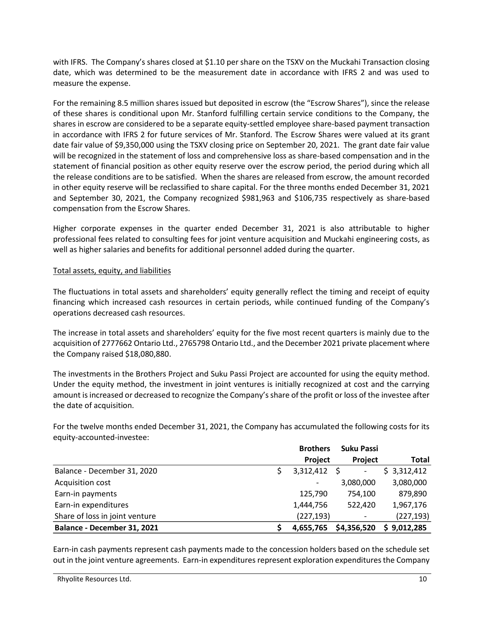with IFRS. The Company's shares closed at \$1.10 per share on the TSXV on the Muckahi Transaction closing date, which was determined to be the measurement date in accordance with IFRS 2 and was used to measure the expense.

For the remaining 8.5 million shares issued but deposited in escrow (the "Escrow Shares"), since the release of these shares is conditional upon Mr. Stanford fulfilling certain service conditions to the Company, the shares in escrow are considered to be a separate equity-settled employee share-based payment transaction in accordance with IFRS 2 for future services of Mr. Stanford. The Escrow Shares were valued at its grant date fair value of \$9,350,000 using the TSXV closing price on September 20, 2021. The grant date fair value will be recognized in the statement of loss and comprehensive loss as share-based compensation and in the statement of financial position as other equity reserve over the escrow period, the period during which all the release conditions are to be satisfied. When the shares are released from escrow, the amount recorded in other equity reserve will be reclassified to share capital. For the three months ended December 31, 2021 and September 30, 2021, the Company recognized \$981,963 and \$106,735 respectively as share-based compensation from the Escrow Shares.

Higher corporate expenses in the quarter ended December 31, 2021 is also attributable to higher professional fees related to consulting fees for joint venture acquisition and Muckahi engineering costs, as well as higher salaries and benefits for additional personnel added during the quarter.

### Total assets, equity, and liabilities

The fluctuations in total assets and shareholders' equity generally reflect the timing and receipt of equity financing which increased cash resources in certain periods, while continued funding of the Company's operations decreased cash resources.

The increase in total assets and shareholders' equity for the five most recent quarters is mainly due to the acquisition of 2777662 Ontario Ltd., 2765798 Ontario Ltd., and the December 2021 private placement where the Company raised \$18,080,880.

The investments in the Brothers Project and Suku Passi Project are accounted for using the equity method. Under the equity method, the investment in joint ventures is initially recognized at cost and the carrying amount is increased or decreased to recognize the Company's share of the profit or loss of the investee after the date of acquisition.

For the twelve months ended December 31, 2021, the Company has accumulated the following costs for its equity-accounted-investee:

|                                | <b>Brothers</b> | Suku Passi     |             |
|--------------------------------|-----------------|----------------|-------------|
|                                | Project         | <b>Project</b> | Total       |
| Balance - December 31, 2020    | $3,312,412$ \$  | -              | \$3,312,412 |
| Acquisition cost               |                 | 3,080,000      | 3,080,000   |
| Earn-in payments               | 125,790         | 754.100        | 879,890     |
| Earn-in expenditures           | 1,444,756       | 522,420        | 1,967,176   |
| Share of loss in joint venture | (227, 193)      | ٠              | (227, 193)  |
| Balance - December 31, 2021    | 4,655,765       | \$4,356,520    | \$9,012,285 |

Earn-in cash payments represent cash payments made to the concession holders based on the schedule set out in the joint venture agreements. Earn-in expenditures represent exploration expenditures the Company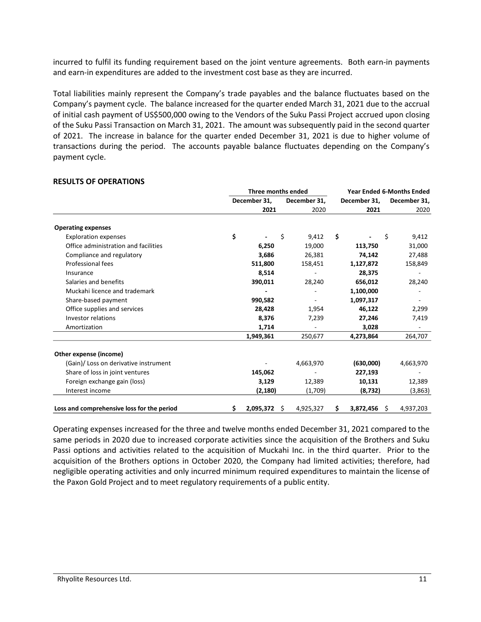incurred to fulfil its funding requirement based on the joint venture agreements. Both earn-in payments and earn-in expenditures are added to the investment cost base as they are incurred.

Total liabilities mainly represent the Company's trade payables and the balance fluctuates based on the Company's payment cycle. The balance increased for the quarter ended March 31, 2021 due to the accrual of initial cash payment of US\$500,000 owing to the Vendors of the Suku Passi Project accrued upon closing of the Suku Passi Transaction on March 31, 2021. The amount was subsequently paid in the second quarter of 2021. The increase in balance for the quarter ended December 31, 2021 is due to higher volume of transactions during the period. The accounts payable balance fluctuates depending on the Company's payment cycle.

|                                            | Three months ended |              |    |              | <b>Year Ended 6-Months Ended</b> |           |              |           |
|--------------------------------------------|--------------------|--------------|----|--------------|----------------------------------|-----------|--------------|-----------|
|                                            |                    | December 31, |    | December 31, | December 31,                     |           | December 31, |           |
|                                            |                    | 2021         |    | 2020         |                                  | 2021      |              | 2020      |
| <b>Operating expenses</b>                  |                    |              |    |              |                                  |           |              |           |
| <b>Exploration expenses</b>                | \$                 |              | \$ | 9,412        | \$                               |           | \$           | 9,412     |
| Office administration and facilities       |                    | 6,250        |    | 19,000       |                                  | 113,750   |              | 31,000    |
| Compliance and regulatory                  |                    | 3,686        |    | 26,381       |                                  | 74,142    |              | 27,488    |
| Professional fees                          |                    | 511,800      |    | 158,451      |                                  | 1,127,872 |              | 158,849   |
| Insurance                                  |                    | 8,514        |    |              |                                  | 28,375    |              |           |
| Salaries and benefits                      |                    | 390,011      |    | 28,240       |                                  | 656,012   |              | 28,240    |
| Muckahi licence and trademark              |                    |              |    |              |                                  | 1,100,000 |              |           |
| Share-based payment                        |                    | 990,582      |    |              |                                  | 1,097,317 |              |           |
| Office supplies and services               |                    | 28,428       |    | 1,954        |                                  | 46,122    |              | 2,299     |
| Investor relations                         |                    | 8,376        |    | 7,239        |                                  | 27,246    |              | 7,419     |
| Amortization                               |                    | 1,714        |    |              |                                  | 3,028     |              |           |
|                                            |                    | 1,949,361    |    | 250,677      |                                  | 4,273,864 |              | 264,707   |
| Other expense (income)                     |                    |              |    |              |                                  |           |              |           |
| (Gain)/ Loss on derivative instrument      |                    |              |    | 4,663,970    |                                  | (630,000) |              | 4,663,970 |
| Share of loss in joint ventures            |                    | 145,062      |    |              |                                  | 227,193   |              |           |
| Foreign exchange gain (loss)               |                    | 3,129        |    | 12,389       |                                  | 10,131    |              | 12,389    |
| Interest income                            |                    | (2, 180)     |    | (1,709)      |                                  | (8, 732)  |              | (3,863)   |
| Loss and comprehensive loss for the period | \$                 | 2,095,372    | Ŝ. | 4,925,327    | \$                               | 3,872,456 | - \$         | 4,937,203 |

#### **RESULTS OF OPERATIONS**

Operating expenses increased for the three and twelve months ended December 31, 2021 compared to the same periods in 2020 due to increased corporate activities since the acquisition of the Brothers and Suku Passi options and activities related to the acquisition of Muckahi Inc. in the third quarter. Prior to the acquisition of the Brothers options in October 2020, the Company had limited activities; therefore, had negligible operating activities and only incurred minimum required expenditures to maintain the license of the Paxon Gold Project and to meet regulatory requirements of a public entity.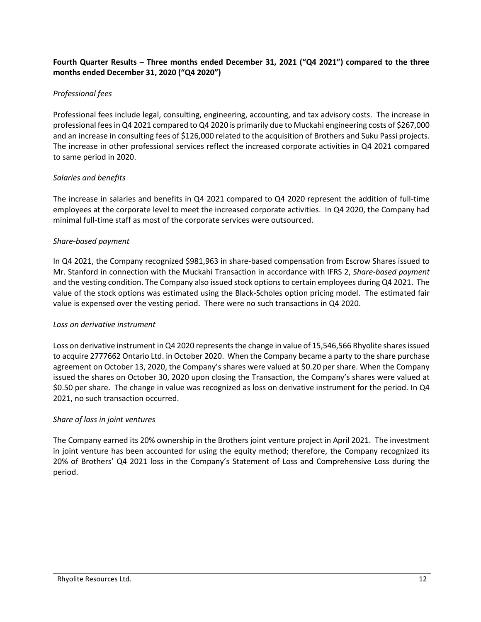## **Fourth Quarter Results – Three months ended December 31, 2021 ("Q4 2021") compared to the three months ended December 31, 2020 ("Q4 2020")**

## *Professional fees*

Professional fees include legal, consulting, engineering, accounting, and tax advisory costs. The increase in professional fees in Q4 2021 compared to Q4 2020 is primarily due to Muckahi engineering costs of \$267,000 and an increase in consulting fees of \$126,000 related to the acquisition of Brothers and Suku Passi projects. The increase in other professional services reflect the increased corporate activities in Q4 2021 compared to same period in 2020.

## *Salaries and benefits*

The increase in salaries and benefits in Q4 2021 compared to Q4 2020 represent the addition of full-time employees at the corporate level to meet the increased corporate activities. In Q4 2020, the Company had minimal full-time staff as most of the corporate services were outsourced.

### *Share-based payment*

In Q4 2021, the Company recognized \$981,963 in share-based compensation from Escrow Shares issued to Mr. Stanford in connection with the Muckahi Transaction in accordance with IFRS 2, *Share-based payment* and the vesting condition. The Company also issued stock options to certain employees during Q4 2021. The value of the stock options was estimated using the Black-Scholes option pricing model. The estimated fair value is expensed over the vesting period. There were no such transactions in Q4 2020.

#### *Loss on derivative instrument*

Loss on derivative instrument in Q4 2020 represents the change in value of 15,546,566 Rhyolite shares issued to acquire 2777662 Ontario Ltd. in October 2020. When the Company became a party to the share purchase agreement on October 13, 2020, the Company's shares were valued at \$0.20 per share. When the Company issued the shares on October 30, 2020 upon closing the Transaction, the Company's shares were valued at \$0.50 per share. The change in value was recognized as loss on derivative instrument for the period. In Q4 2021, no such transaction occurred.

## *Share of loss in joint ventures*

The Company earned its 20% ownership in the Brothers joint venture project in April 2021. The investment in joint venture has been accounted for using the equity method; therefore, the Company recognized its 20% of Brothers' Q4 2021 loss in the Company's Statement of Loss and Comprehensive Loss during the period.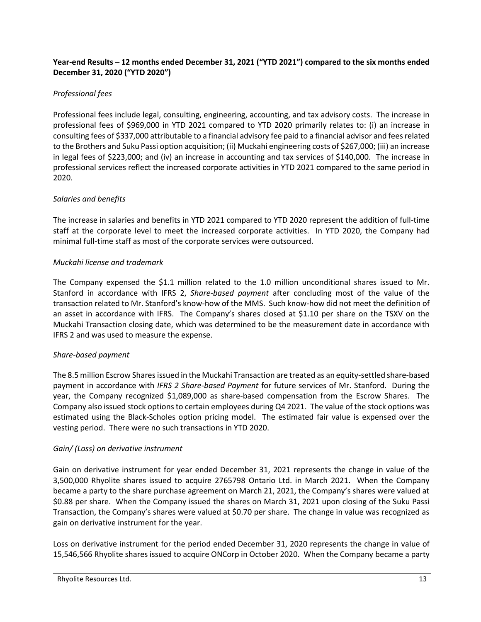## **Year-end Results – 12 months ended December 31, 2021 ("YTD 2021") compared to the six months ended December 31, 2020 ("YTD 2020")**

## *Professional fees*

Professional fees include legal, consulting, engineering, accounting, and tax advisory costs. The increase in professional fees of \$969,000 in YTD 2021 compared to YTD 2020 primarily relates to: (i) an increase in consulting fees of \$337,000 attributable to a financial advisory fee paid to a financial advisor and fees related to the Brothers and Suku Passi option acquisition; (ii) Muckahi engineering costs of \$267,000; (iii) an increase in legal fees of \$223,000; and (iv) an increase in accounting and tax services of \$140,000. The increase in professional services reflect the increased corporate activities in YTD 2021 compared to the same period in 2020.

## *Salaries and benefits*

The increase in salaries and benefits in YTD 2021 compared to YTD 2020 represent the addition of full-time staff at the corporate level to meet the increased corporate activities. In YTD 2020, the Company had minimal full-time staff as most of the corporate services were outsourced.

## *Muckahi license and trademark*

The Company expensed the \$1.1 million related to the 1.0 million unconditional shares issued to Mr. Stanford in accordance with IFRS 2, *Share-based payment* after concluding most of the value of the transaction related to Mr. Stanford's know-how of the MMS. Such know-how did not meet the definition of an asset in accordance with IFRS. The Company's shares closed at \$1.10 per share on the TSXV on the Muckahi Transaction closing date, which was determined to be the measurement date in accordance with IFRS 2 and was used to measure the expense.

## *Share-based payment*

The 8.5 million Escrow Shares issued in the Muckahi Transaction are treated as an equity-settled share-based payment in accordance with *IFRS 2 Share-based Payment* for future services of Mr. Stanford. During the year, the Company recognized \$1,089,000 as share-based compensation from the Escrow Shares. The Company also issued stock options to certain employees during Q4 2021. The value of the stock options was estimated using the Black-Scholes option pricing model. The estimated fair value is expensed over the vesting period. There were no such transactions in YTD 2020.

## *Gain/ (Loss) on derivative instrument*

Gain on derivative instrument for year ended December 31, 2021 represents the change in value of the 3,500,000 Rhyolite shares issued to acquire 2765798 Ontario Ltd. in March 2021. When the Company became a party to the share purchase agreement on March 21, 2021, the Company's shares were valued at \$0.88 per share. When the Company issued the shares on March 31, 2021 upon closing of the Suku Passi Transaction, the Company's shares were valued at \$0.70 per share. The change in value was recognized as gain on derivative instrument for the year.

Loss on derivative instrument for the period ended December 31, 2020 represents the change in value of 15,546,566 Rhyolite shares issued to acquire ONCorp in October 2020. When the Company became a party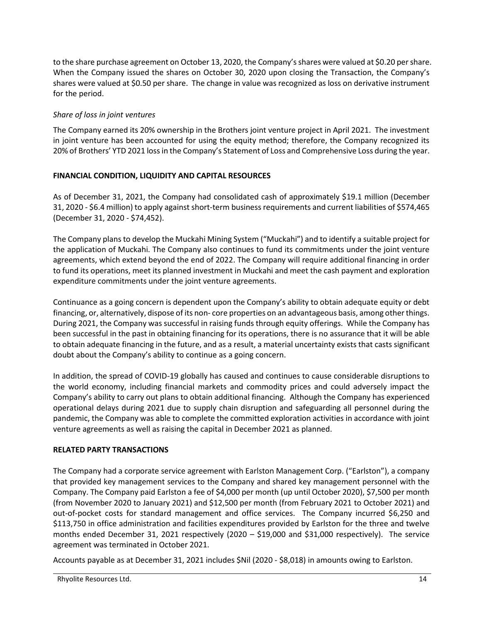to the share purchase agreement on October 13, 2020, the Company's shares were valued at \$0.20 per share. When the Company issued the shares on October 30, 2020 upon closing the Transaction, the Company's shares were valued at \$0.50 per share. The change in value was recognized as loss on derivative instrument for the period.

# *Share of loss in joint ventures*

The Company earned its 20% ownership in the Brothers joint venture project in April 2021. The investment in joint venture has been accounted for using the equity method; therefore, the Company recognized its 20% of Brothers' YTD 2021 loss in the Company's Statement of Loss and Comprehensive Loss during the year.

# **FINANCIAL CONDITION, LIQUIDITY AND CAPITAL RESOURCES**

As of December 31, 2021, the Company had consolidated cash of approximately \$19.1 million (December 31, 2020 - \$6.4 million) to apply against short-term business requirements and current liabilities of \$574,465 (December 31, 2020 - \$74,452).

The Company plans to develop the Muckahi Mining System ("Muckahi") and to identify a suitable project for the application of Muckahi. The Company also continues to fund its commitments under the joint venture agreements, which extend beyond the end of 2022. The Company will require additional financing in order to fund its operations, meet its planned investment in Muckahi and meet the cash payment and exploration expenditure commitments under the joint venture agreements.

Continuance as a going concern is dependent upon the Company's ability to obtain adequate equity or debt financing, or, alternatively, dispose of its non- core properties on an advantageous basis, among other things. During 2021, the Company was successful in raising funds through equity offerings. While the Company has been successful in the past in obtaining financing for its operations, there is no assurance that it will be able to obtain adequate financing in the future, and as a result, a material uncertainty exists that casts significant doubt about the Company's ability to continue as a going concern.

In addition, the spread of COVID-19 globally has caused and continues to cause considerable disruptions to the world economy, including financial markets and commodity prices and could adversely impact the Company's ability to carry out plans to obtain additional financing. Although the Company has experienced operational delays during 2021 due to supply chain disruption and safeguarding all personnel during the pandemic, the Company was able to complete the committed exploration activities in accordance with joint venture agreements as well as raising the capital in December 2021 as planned.

# **RELATED PARTY TRANSACTIONS**

The Company had a corporate service agreement with Earlston Management Corp. ("Earlston"), a company that provided key management services to the Company and shared key management personnel with the Company. The Company paid Earlston a fee of \$4,000 per month (up until October 2020), \$7,500 per month (from November 2020 to January 2021) and \$12,500 per month (from February 2021 to October 2021) and out-of-pocket costs for standard management and office services. The Company incurred \$6,250 and \$113,750 in office administration and facilities expenditures provided by Earlston for the three and twelve months ended December 31, 2021 respectively (2020 – \$19,000 and \$31,000 respectively). The service agreement was terminated in October 2021.

Accounts payable as at December 31, 2021 includes \$Nil (2020 - \$8,018) in amounts owing to Earlston.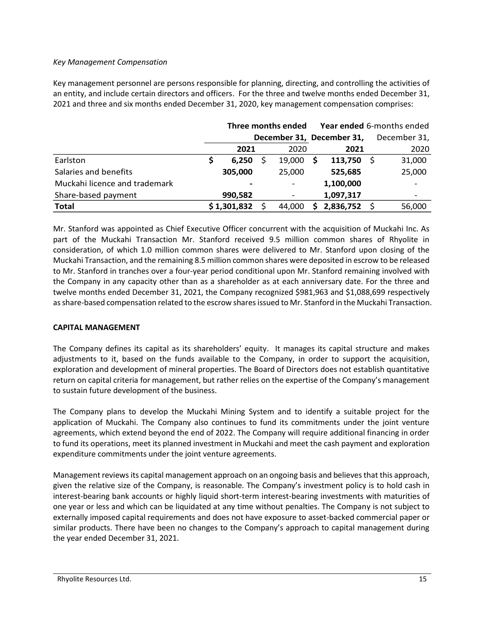### *Key Management Compensation*

Key management personnel are persons responsible for planning, directing, and controlling the activities of an entity, and include certain directors and officers. For the three and twelve months ended December 31, 2021 and three and six months ended December 31, 2020, key management compensation comprises:

|                               |                           | Three months ended |                          |    | Year ended 6-months ended |              |
|-------------------------------|---------------------------|--------------------|--------------------------|----|---------------------------|--------------|
|                               | December 31, December 31, |                    |                          |    |                           | December 31, |
|                               | 2021                      |                    | 2020                     |    | 2021                      | 2020         |
| Earlston                      | 6,250                     |                    | 19,000                   | S. | 113,750                   | 31,000       |
| Salaries and benefits         | 305,000                   |                    | 25,000                   |    | 525,685                   | 25,000       |
| Muckahi licence and trademark |                           |                    |                          |    | 1,100,000                 |              |
| Share-based payment           | 990,582                   |                    | $\overline{\phantom{a}}$ |    | 1,097,317                 |              |
| <b>Total</b>                  | \$1,301,832               |                    | 44,000                   | S. | 2,836,752                 | 56,000       |

Mr. Stanford was appointed as Chief Executive Officer concurrent with the acquisition of Muckahi Inc. As part of the Muckahi Transaction Mr. Stanford received 9.5 million common shares of Rhyolite in consideration, of which 1.0 million common shares were delivered to Mr. Stanford upon closing of the Muckahi Transaction, and the remaining 8.5 million common shares were deposited in escrow to be released to Mr. Stanford in tranches over a four-year period conditional upon Mr. Stanford remaining involved with the Company in any capacity other than as a shareholder as at each anniversary date. For the three and twelve months ended December 31, 2021, the Company recognized \$981,963 and \$1,088,699 respectively as share-based compensation related to the escrow shares issued to Mr. Stanford in the Muckahi Transaction.

## **CAPITAL MANAGEMENT**

The Company defines its capital as its shareholders' equity. It manages its capital structure and makes adjustments to it, based on the funds available to the Company, in order to support the acquisition, exploration and development of mineral properties. The Board of Directors does not establish quantitative return on capital criteria for management, but rather relies on the expertise of the Company's management to sustain future development of the business.

The Company plans to develop the Muckahi Mining System and to identify a suitable project for the application of Muckahi. The Company also continues to fund its commitments under the joint venture agreements, which extend beyond the end of 2022. The Company will require additional financing in order to fund its operations, meet its planned investment in Muckahi and meet the cash payment and exploration expenditure commitments under the joint venture agreements.

Management reviews its capital management approach on an ongoing basis and believes that this approach, given the relative size of the Company, is reasonable. The Company's investment policy is to hold cash in interest-bearing bank accounts or highly liquid short-term interest-bearing investments with maturities of one year or less and which can be liquidated at any time without penalties. The Company is not subject to externally imposed capital requirements and does not have exposure to asset-backed commercial paper or similar products. There have been no changes to the Company's approach to capital management during the year ended December 31, 2021.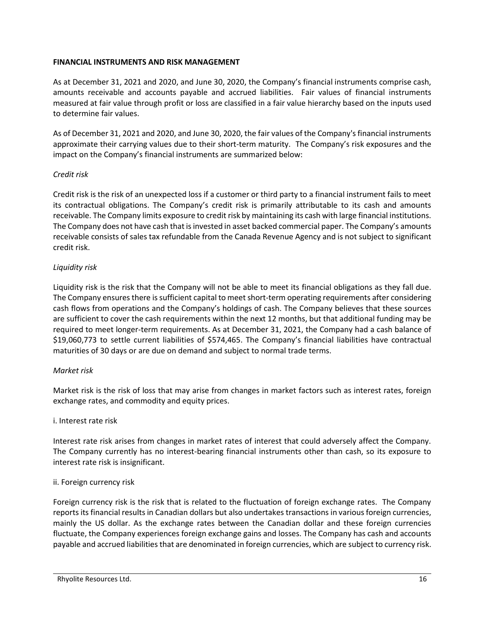### **FINANCIAL INSTRUMENTS AND RISK MANAGEMENT**

As at December 31, 2021 and 2020, and June 30, 2020, the Company's financial instruments comprise cash, amounts receivable and accounts payable and accrued liabilities. Fair values of financial instruments measured at fair value through profit or loss are classified in a fair value hierarchy based on the inputs used to determine fair values.

As of December 31, 2021 and 2020, and June 30, 2020, the fair values of the Company's financial instruments approximate their carrying values due to their short-term maturity. The Company's risk exposures and the impact on the Company's financial instruments are summarized below:

### *Credit risk*

Credit risk is the risk of an unexpected loss if a customer or third party to a financial instrument fails to meet its contractual obligations. The Company's credit risk is primarily attributable to its cash and amounts receivable. The Company limits exposure to credit risk by maintaining its cash with large financial institutions. The Company does not have cash that is invested in asset backed commercial paper. The Company's amounts receivable consists of sales tax refundable from the Canada Revenue Agency and is not subject to significant credit risk.

## *Liquidity risk*

Liquidity risk is the risk that the Company will not be able to meet its financial obligations as they fall due. The Company ensures there is sufficient capital to meet short-term operating requirements after considering cash flows from operations and the Company's holdings of cash. The Company believes that these sources are sufficient to cover the cash requirements within the next 12 months, but that additional funding may be required to meet longer-term requirements. As at December 31, 2021, the Company had a cash balance of \$19,060,773 to settle current liabilities of \$574,465. The Company's financial liabilities have contractual maturities of 30 days or are due on demand and subject to normal trade terms.

## *Market risk*

Market risk is the risk of loss that may arise from changes in market factors such as interest rates, foreign exchange rates, and commodity and equity prices.

## i. Interest rate risk

Interest rate risk arises from changes in market rates of interest that could adversely affect the Company. The Company currently has no interest-bearing financial instruments other than cash, so its exposure to interest rate risk is insignificant.

## ii. Foreign currency risk

Foreign currency risk is the risk that is related to the fluctuation of foreign exchange rates. The Company reports its financial results in Canadian dollars but also undertakes transactions in various foreign currencies, mainly the US dollar. As the exchange rates between the Canadian dollar and these foreign currencies fluctuate, the Company experiences foreign exchange gains and losses. The Company has cash and accounts payable and accrued liabilities that are denominated in foreign currencies, which are subject to currency risk.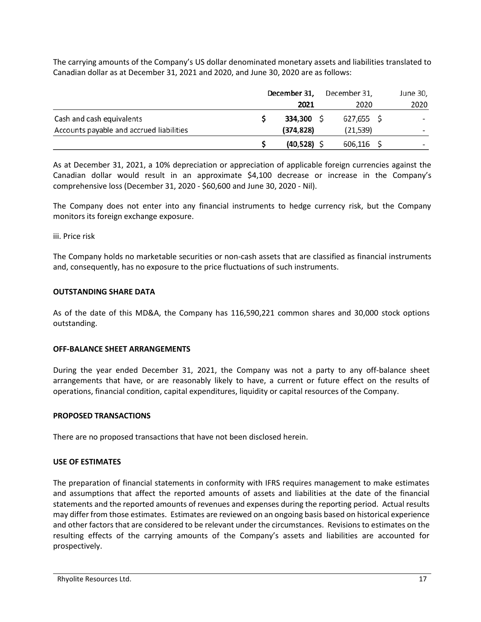The carrying amounts of the Company's US dollar denominated monetary assets and liabilities translated to Canadian dollar as at December 31, 2021 and 2020, and June 30, 2020 are as follows:

|                                          | December 31, |            |  | December 31, | June 30,                 |
|------------------------------------------|--------------|------------|--|--------------|--------------------------|
|                                          |              | 2021       |  | 2020         | 2020                     |
| Cash and cash equivalents                |              | 334,300 \$ |  | 627,655 \$   | $\overline{\phantom{0}}$ |
| Accounts payable and accrued liabilities |              | (374, 828) |  | (21, 539)    | $\overline{\phantom{0}}$ |
|                                          |              | (40, 528)  |  | $606,116$ \$ | $\overline{\phantom{0}}$ |

As at December 31, 2021, a 10% depreciation or appreciation of applicable foreign currencies against the Canadian dollar would result in an approximate \$4,100 decrease or increase in the Company's comprehensive loss (December 31, 2020 - \$60,600 and June 30, 2020 - Nil).

The Company does not enter into any financial instruments to hedge currency risk, but the Company monitors its foreign exchange exposure.

#### iii. Price risk

The Company holds no marketable securities or non-cash assets that are classified as financial instruments and, consequently, has no exposure to the price fluctuations of such instruments.

### **OUTSTANDING SHARE DATA**

As of the date of this MD&A, the Company has 116,590,221 common shares and 30,000 stock options outstanding.

## **OFF-BALANCE SHEET ARRANGEMENTS**

During the year ended December 31, 2021, the Company was not a party to any off-balance sheet arrangements that have, or are reasonably likely to have, a current or future effect on the results of operations, financial condition, capital expenditures, liquidity or capital resources of the Company.

## **PROPOSED TRANSACTIONS**

There are no proposed transactions that have not been disclosed herein.

## **USE OF ESTIMATES**

The preparation of financial statements in conformity with IFRS requires management to make estimates and assumptions that affect the reported amounts of assets and liabilities at the date of the financial statements and the reported amounts of revenues and expenses during the reporting period. Actual results may differ from those estimates. Estimates are reviewed on an ongoing basis based on historical experience and other factors that are considered to be relevant under the circumstances. Revisions to estimates on the resulting effects of the carrying amounts of the Company's assets and liabilities are accounted for prospectively.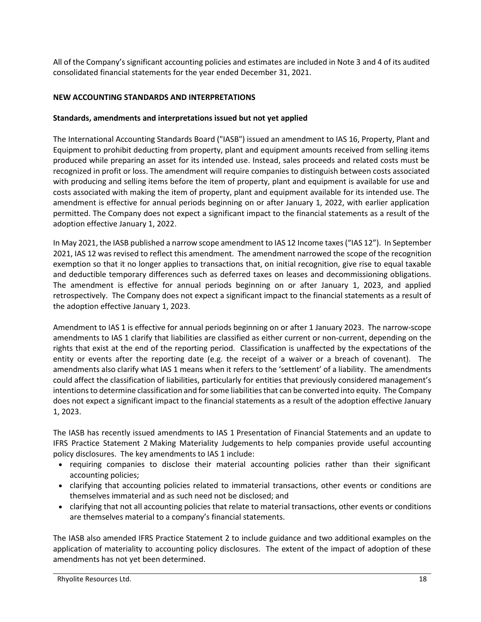All of the Company's significant accounting policies and estimates are included in Note 3 and 4 of its audited consolidated financial statements for the year ended December 31, 2021.

## **NEW ACCOUNTING STANDARDS AND INTERPRETATIONS**

### **Standards, amendments and interpretations issued but not yet applied**

The International Accounting Standards Board ("IASB") issued an amendment to IAS 16, Property, Plant and Equipment to prohibit deducting from property, plant and equipment amounts received from selling items produced while preparing an asset for its intended use. Instead, sales proceeds and related costs must be recognized in profit or loss. The amendment will require companies to distinguish between costs associated with producing and selling items before the item of property, plant and equipment is available for use and costs associated with making the item of property, plant and equipment available for its intended use. The amendment is effective for annual periods beginning on or after January 1, 2022, with earlier application permitted. The Company does not expect a significant impact to the financial statements as a result of the adoption effective January 1, 2022.

In May 2021, the IASB published a narrow scope amendment to IAS 12 Income taxes ("IAS 12"). In September 2021, IAS 12 was revised to reflect this amendment. The amendment narrowed the scope of the recognition exemption so that it no longer applies to transactions that, on initial recognition, give rise to equal taxable and deductible temporary differences such as deferred taxes on leases and decommissioning obligations. The amendment is effective for annual periods beginning on or after January 1, 2023, and applied retrospectively. The Company does not expect a significant impact to the financial statements as a result of the adoption effective January 1, 2023.

Amendment to IAS 1 is effective for annual periods beginning on or after 1 January 2023. The narrow-scope amendments to IAS 1 clarify that liabilities are classified as either current or non-current, depending on the rights that exist at the end of the reporting period. Classification is unaffected by the expectations of the entity or events after the reporting date (e.g. the receipt of a waiver or a breach of covenant). The amendments also clarify what IAS 1 means when it refers to the 'settlement' of a liability. The amendments could affect the classification of liabilities, particularly for entities that previously considered management's intentions to determine classification and for some liabilities that can be converted into equity. The Company does not expect a significant impact to the financial statements as a result of the adoption effective January 1, 2023.

The IASB has recently issued amendments to IAS 1 Presentation of Financial Statements and an update to IFRS Practice Statement 2 Making Materiality Judgements to help companies provide useful accounting policy disclosures. The key amendments to IAS 1 include:

- requiring companies to disclose their material accounting policies rather than their significant accounting policies;
- clarifying that accounting policies related to immaterial transactions, other events or conditions are themselves immaterial and as such need not be disclosed; and
- clarifying that not all accounting policies that relate to material transactions, other events or conditions are themselves material to a company's financial statements.

The IASB also amended IFRS Practice Statement 2 to include guidance and two additional examples on the application of materiality to accounting policy disclosures. The extent of the impact of adoption of these amendments has not yet been determined.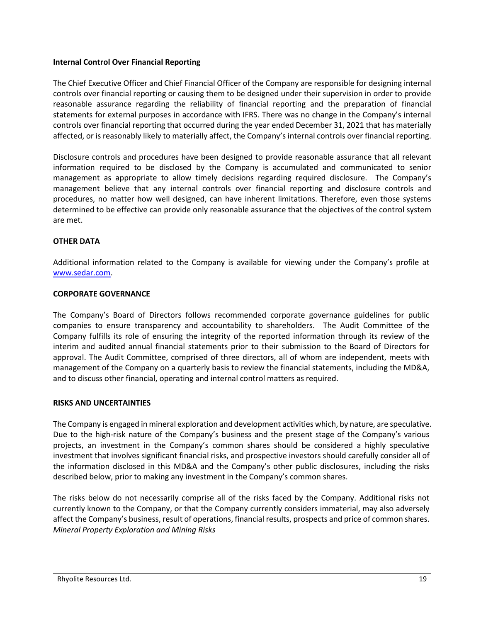#### **Internal Control Over Financial Reporting**

The Chief Executive Officer and Chief Financial Officer of the Company are responsible for designing internal controls over financial reporting or causing them to be designed under their supervision in order to provide reasonable assurance regarding the reliability of financial reporting and the preparation of financial statements for external purposes in accordance with IFRS. There was no change in the Company's internal controls over financial reporting that occurred during the year ended December 31, 2021 that has materially affected, or is reasonably likely to materially affect, the Company's internal controls over financial reporting.

Disclosure controls and procedures have been designed to provide reasonable assurance that all relevant information required to be disclosed by the Company is accumulated and communicated to senior management as appropriate to allow timely decisions regarding required disclosure. The Company's management believe that any internal controls over financial reporting and disclosure controls and procedures, no matter how well designed, can have inherent limitations. Therefore, even those systems determined to be effective can provide only reasonable assurance that the objectives of the control system are met.

## **OTHER DATA**

Additional information related to the Company is available for viewing under the Company's profile at [www.sedar.com.](http://www.sedar.com/)

### **CORPORATE GOVERNANCE**

The Company's Board of Directors follows recommended corporate governance guidelines for public companies to ensure transparency and accountability to shareholders. The Audit Committee of the Company fulfills its role of ensuring the integrity of the reported information through its review of the interim and audited annual financial statements prior to their submission to the Board of Directors for approval. The Audit Committee, comprised of three directors, all of whom are independent, meets with management of the Company on a quarterly basis to review the financial statements, including the MD&A, and to discuss other financial, operating and internal control matters as required.

## **RISKS AND UNCERTAINTIES**

The Company is engaged in mineral exploration and development activities which, by nature, are speculative. Due to the high-risk nature of the Company's business and the present stage of the Company's various projects, an investment in the Company's common shares should be considered a highly speculative investment that involves significant financial risks, and prospective investors should carefully consider all of the information disclosed in this MD&A and the Company's other public disclosures, including the risks described below, prior to making any investment in the Company's common shares.

The risks below do not necessarily comprise all of the risks faced by the Company. Additional risks not currently known to the Company, or that the Company currently considers immaterial, may also adversely affect the Company's business, result of operations, financial results, prospects and price of common shares. *Mineral Property Exploration and Mining Risks*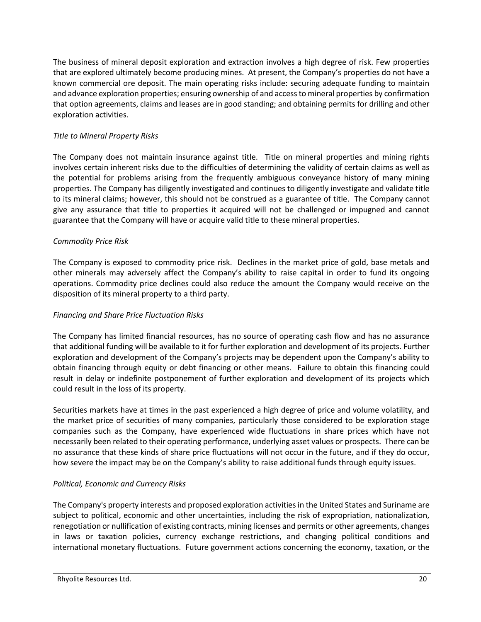The business of mineral deposit exploration and extraction involves a high degree of risk. Few properties that are explored ultimately become producing mines. At present, the Company's properties do not have a known commercial ore deposit. The main operating risks include: securing adequate funding to maintain and advance exploration properties; ensuring ownership of and access to mineral properties by confirmation that option agreements, claims and leases are in good standing; and obtaining permits for drilling and other exploration activities.

## *Title to Mineral Property Risks*

The Company does not maintain insurance against title. Title on mineral properties and mining rights involves certain inherent risks due to the difficulties of determining the validity of certain claims as well as the potential for problems arising from the frequently ambiguous conveyance history of many mining properties. The Company has diligently investigated and continues to diligently investigate and validate title to its mineral claims; however, this should not be construed as a guarantee of title. The Company cannot give any assurance that title to properties it acquired will not be challenged or impugned and cannot guarantee that the Company will have or acquire valid title to these mineral properties.

## *Commodity Price Risk*

The Company is exposed to commodity price risk. Declines in the market price of gold, base metals and other minerals may adversely affect the Company's ability to raise capital in order to fund its ongoing operations. Commodity price declines could also reduce the amount the Company would receive on the disposition of its mineral property to a third party.

## *Financing and Share Price Fluctuation Risks*

The Company has limited financial resources, has no source of operating cash flow and has no assurance that additional funding will be available to it for further exploration and development of its projects. Further exploration and development of the Company's projects may be dependent upon the Company's ability to obtain financing through equity or debt financing or other means. Failure to obtain this financing could result in delay or indefinite postponement of further exploration and development of its projects which could result in the loss of its property.

Securities markets have at times in the past experienced a high degree of price and volume volatility, and the market price of securities of many companies, particularly those considered to be exploration stage companies such as the Company, have experienced wide fluctuations in share prices which have not necessarily been related to their operating performance, underlying asset values or prospects. There can be no assurance that these kinds of share price fluctuations will not occur in the future, and if they do occur, how severe the impact may be on the Company's ability to raise additional funds through equity issues.

# *Political, Economic and Currency Risks*

The Company's property interests and proposed exploration activities in the United States and Suriname are subject to political, economic and other uncertainties, including the risk of expropriation, nationalization, renegotiation or nullification of existing contracts, mining licenses and permits or other agreements, changes in laws or taxation policies, currency exchange restrictions, and changing political conditions and international monetary fluctuations. Future government actions concerning the economy, taxation, or the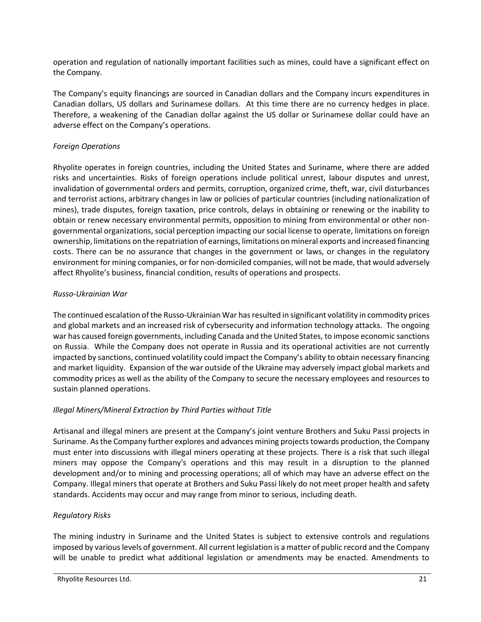operation and regulation of nationally important facilities such as mines, could have a significant effect on the Company.

The Company's equity financings are sourced in Canadian dollars and the Company incurs expenditures in Canadian dollars, US dollars and Surinamese dollars. At this time there are no currency hedges in place. Therefore, a weakening of the Canadian dollar against the US dollar or Surinamese dollar could have an adverse effect on the Company's operations.

# *Foreign Operations*

Rhyolite operates in foreign countries, including the United States and Suriname, where there are added risks and uncertainties. Risks of foreign operations include political unrest, labour disputes and unrest, invalidation of governmental orders and permits, corruption, organized crime, theft, war, civil disturbances and terrorist actions, arbitrary changes in law or policies of particular countries (including nationalization of mines), trade disputes, foreign taxation, price controls, delays in obtaining or renewing or the inability to obtain or renew necessary environmental permits, opposition to mining from environmental or other nongovernmental organizations, social perception impacting our social license to operate, limitations on foreign ownership, limitations on the repatriation of earnings, limitations on mineral exports and increased financing costs. There can be no assurance that changes in the government or laws, or changes in the regulatory environment for mining companies, or for non-domiciled companies, will not be made, that would adversely affect Rhyolite's business, financial condition, results of operations and prospects.

# *Russo-Ukrainian War*

The continued escalation of the Russo-Ukrainian War has resulted in significant volatility in commodity prices and global markets and an increased risk of cybersecurity and information technology attacks. The ongoing war has caused foreign governments, including Canada and the United States, to impose economic sanctions on Russia. While the Company does not operate in Russia and its operational activities are not currently impacted by sanctions, continued volatility could impact the Company's ability to obtain necessary financing and market liquidity. Expansion of the war outside of the Ukraine may adversely impact global markets and commodity prices as well as the ability of the Company to secure the necessary employees and resources to sustain planned operations.

# *Illegal Miners/Mineral Extraction by Third Parties without Title*

Artisanal and illegal miners are present at the Company's joint venture Brothers and Suku Passi projects in Suriname. As the Company further explores and advances mining projects towards production, the Company must enter into discussions with illegal miners operating at these projects. There is a risk that such illegal miners may oppose the Company's operations and this may result in a disruption to the planned development and/or to mining and processing operations; all of which may have an adverse effect on the Company. Illegal miners that operate at Brothers and Suku Passi likely do not meet proper health and safety standards. Accidents may occur and may range from minor to serious, including death.

# *Regulatory Risks*

The mining industry in Suriname and the United States is subject to extensive controls and regulations imposed by various levels of government. All current legislation is a matter of public record and the Company will be unable to predict what additional legislation or amendments may be enacted. Amendments to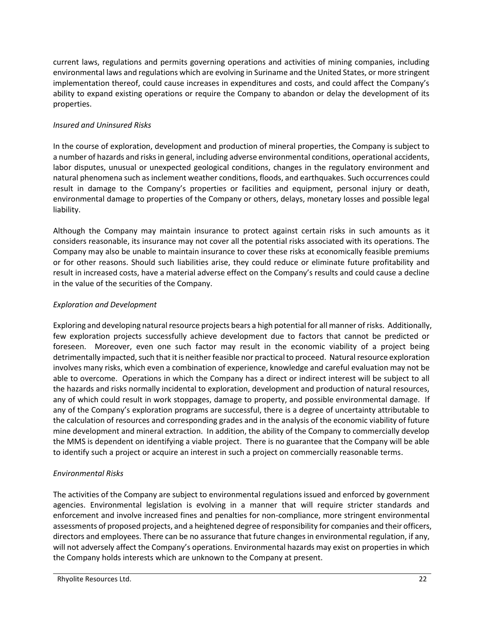current laws, regulations and permits governing operations and activities of mining companies, including environmental laws and regulations which are evolving in Suriname and the United States, or more stringent implementation thereof, could cause increases in expenditures and costs, and could affect the Company's ability to expand existing operations or require the Company to abandon or delay the development of its properties.

# *Insured and Uninsured Risks*

In the course of exploration, development and production of mineral properties, the Company is subject to a number of hazards and risks in general, including adverse environmental conditions, operational accidents, labor disputes, unusual or unexpected geological conditions, changes in the regulatory environment and natural phenomena such as inclement weather conditions, floods, and earthquakes. Such occurrences could result in damage to the Company's properties or facilities and equipment, personal injury or death, environmental damage to properties of the Company or others, delays, monetary losses and possible legal liability.

Although the Company may maintain insurance to protect against certain risks in such amounts as it considers reasonable, its insurance may not cover all the potential risks associated with its operations. The Company may also be unable to maintain insurance to cover these risks at economically feasible premiums or for other reasons. Should such liabilities arise, they could reduce or eliminate future profitability and result in increased costs, have a material adverse effect on the Company's results and could cause a decline in the value of the securities of the Company.

## *Exploration and Development*

Exploring and developing natural resource projects bears a high potential for all manner of risks. Additionally, few exploration projects successfully achieve development due to factors that cannot be predicted or foreseen. Moreover, even one such factor may result in the economic viability of a project being detrimentally impacted, such that it is neither feasible nor practical to proceed. Natural resource exploration involves many risks, which even a combination of experience, knowledge and careful evaluation may not be able to overcome. Operations in which the Company has a direct or indirect interest will be subject to all the hazards and risks normally incidental to exploration, development and production of natural resources, any of which could result in work stoppages, damage to property, and possible environmental damage. If any of the Company's exploration programs are successful, there is a degree of uncertainty attributable to the calculation of resources and corresponding grades and in the analysis of the economic viability of future mine development and mineral extraction. In addition, the ability of the Company to commercially develop the MMS is dependent on identifying a viable project. There is no guarantee that the Company will be able to identify such a project or acquire an interest in such a project on commercially reasonable terms.

# *Environmental Risks*

The activities of the Company are subject to environmental regulations issued and enforced by government agencies. Environmental legislation is evolving in a manner that will require stricter standards and enforcement and involve increased fines and penalties for non-compliance, more stringent environmental assessments of proposed projects, and a heightened degree of responsibility for companies and their officers, directors and employees. There can be no assurance that future changes in environmental regulation, if any, will not adversely affect the Company's operations. Environmental hazards may exist on properties in which the Company holds interests which are unknown to the Company at present.